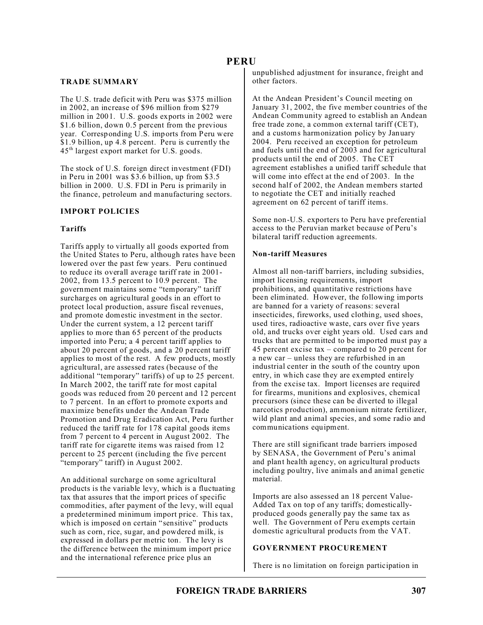# **PERU**

#### **TRADE SUMMARY**

The U.S. trade deficit with Peru was \$375 million in 2002, an increase of \$96 million from \$279 million in 2001. U.S. goods exports in 2002 were \$1.6 billion, down 0.5 percent from the previous year. Corresponding U.S. imports from Peru were \$1.9 billion, up 4.8 percent. Peru is currently the 45th largest export market for U.S. goods.

The stock of U.S. foreign direct investment (FDI) in Peru in 2001 was \$3.6 billion, up from \$3.5 billion in 2000. U.S. FDI in Peru is primarily in the finance, petroleum and manufacturing sectors.

### **IMPORT POLICIES**

### **Tariffs**

Tariffs apply to virtually all goods exported from the United States to Peru, although rates have been lowered over the past few years. Peru continued to reduce its overall average tariff rate in 2001- 2002, from 13.5 percent to 10.9 percent. The government maintains some "temporary" tariff surcharges on agricultural goods in an effort to protect local production, assure fiscal revenues, and promote domestic investment in the sector. Under the current system, a 12 percent tariff applies to more than 65 percent of the products imported into Peru; a 4 percent tariff applies to about 20 percent of goods, and a 20 percent tariff applies to most of the rest. A few products, mostly agricultural, are assessed rates (because of the additional "temporary" tariffs) of up to 25 percent. In March 2002, the tariff rate for most capital goods was reduced from 20 percent and 12 percent to 7 percent. In an effort to promote exports and maximize benefits under the Andean Trade Promotion and Drug Eradication Act, Peru further reduced the tariff rate for 178 capital goods items from 7 percent to 4 percent in August 2002. The tariff rate for cigarette items was raised from 12 percent to 25 percent (including the five percent "temporary" tariff) in August 2002.

An additional surcharge on some agricultural products is the variable levy, which is a fluctuating tax that assures that the import prices of specific commodities, after payment of the levy, will equal a predetermined minimum import price. This tax, which is imposed on certain "sensitive" products such as corn, rice, sugar, and powdered milk, is expressed in dollars per metric ton. The levy is the difference between the minimum import price and the international reference price plus an

unpublished adjustment for insurance, freight and other factors.

At the Andean President's Council meeting on January 31, 2002, the five member countries of the Andean Community agreed to establish an Andean free trade zone, a common external tariff (CET), and a customs harmonization policy by January 2004. Peru received an exception for petroleum and fuels until the end of 2003 and for agricultural products until the end of 2005. The CET agreement establishes a unified tariff schedule that will come into effect at the end of 2003. In the second half of 2002, the Andean members started to negotiate the CET and initially reached agreement on 62 percent of tariff items.

Some non-U.S. exporters to Peru have preferential access to the Peruvian market because of Peru's bilateral tariff reduction agreements.

### **Non-tariff Measures**

Almost all non-tariff barriers, including subsidies, import licensing requirements, import prohibitions, and quantitative restrictions have been eliminated. However, the following imports are banned for a variety of reasons: several insecticides, fireworks, used clothing, used shoes, used tires, radioactive waste, cars over five years old, and trucks over eight years old. Used cars and trucks that are permitted to be imported must pay a 45 percent excise tax – compared to 20 percent for a new car – unless they are refurbished in an industrial center in the south of the country upon entry, in which case they are exempted entirely from the excise tax. Import licenses are required for firearms, munitions and explosives, chemical precursors (since these can be diverted to illegal narcotics production), ammonium nitrate fertilizer, wild plant and animal species, and some radio and communications equipment.

There are still significant trade barriers imposed by SENASA, the Government of Peru's animal and plant health agency, on agricultural products including poultry, live animals and animal genetic material.

Imports are also assessed an 18 percent Value-Added Tax on top of any tariffs; domesticallyproduced goods generally pay the same tax as well. The Government of Peru exempts certain domestic agricultural products from the VAT.

#### **GOVERNMENT PROCUREMENT**

There is no limitation on foreign participation in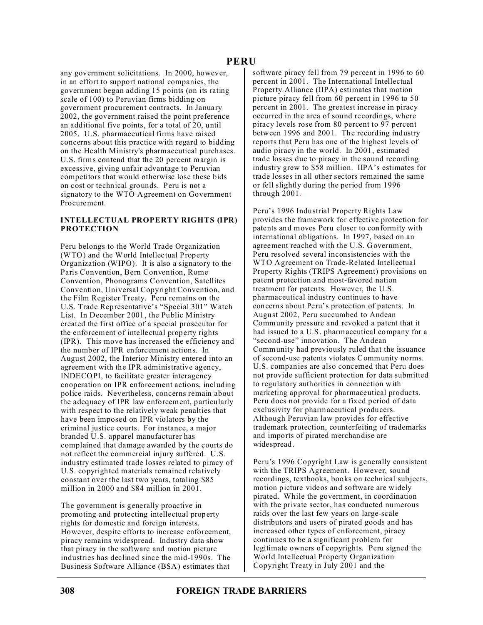any government solicitations. In 2000, however, in an effort to support national companies, the government began adding 15 points (on its rating scale of 100) to Peruvian firms bidding on government procurement contracts. In January 2002, the government raised the point preference an additional five points, for a total of 20, until 2005. U.S. pharmaceutical firms have raised concerns about this practice with regard to bidding on the Health Ministry's pharmaceutical purchases. U.S. firms contend that the 20 percent margin is excessive, giving unfair advantage to Peruvian competitors that would otherwise lose these bids on cost or technical grounds. Peru is not a signatory to the WTO Agreement on Government Procurement.

### **INTELLECTUAL PROPERTY RIGHTS (IPR) PROTECTION**

Peru belongs to the World Trade Organization (WTO) and the World Intellectual Property Organization (WIPO). It is also a signatory to the Paris Convention, Bern Convention, Rome Convention, Phonograms Convention, Satellites Convention, Universal Copyright Convention, and the Film Register Treaty. Peru remains on the U.S. Trade Representative's "Special 301" Watch List. In December 2001, the Public Ministry created the first office of a special prosecutor for the enforcement of intellectual property rights (IPR). This move has increased the efficiency and the number of IPR enforcement actions. In August 2002, the Interior Ministry entered into an agreement with the IPR administrative agency, INDECOPI, to facilitate greater interagency cooperation on IPR enforcement actions, including police raids. Nevertheless, concerns remain about the adequacy of IPR law enforcement, particularly with respect to the relatively weak penalties that have been imposed on IPR violators by the criminal justice courts. For instance, a major branded U.S. apparel manufacturer has complained that damage awarded by the courts do not reflect the commercial injury suffered. U.S. industry estimated trade losses related to piracy of U.S. copyrighted materials remained relatively constant over the last two years, totaling \$85 million in 2000 and \$84 million in 2001.

The government is generally proactive in promoting and protecting intellectual property rights for domestic and foreign interests. However, despite efforts to increase enforcement, piracy remains widespread. Industry data show that piracy in the software and motion picture industries has declined since the mid-1990s. The Business Software Alliance (BSA) estimates that

software piracy fell from 79 percent in 1996 to 60 percent in 2001. The International Intellectual Property Alliance (IIPA) estimates that motion picture piracy fell from 60 percent in 1996 to 50 percent in 2001. The greatest increase in piracy occurred in the area of sound recordings, where piracy levels rose from 80 percent to 97 percent between 1996 and 2001. The recording industry reports that Peru has one of the highest levels of audio piracy in the world. In 2001, estimated trade losses due to piracy in the sound recording industry grew to \$58 million. IIPA's estimates for trade losses in all other sectors remained the same or fell slightly during the period from 1996 through 2001.

Peru's 1996 Industrial Property Rights Law provides the framework for effective protection for patents and moves Peru closer to conformity with international obligations. In 1997, based on an agreement reached with the U.S. Government, Peru resolved several inconsistencies with the WTO Agreement on Trade-Related Intellectual Property Rights (TRIPS Agreement) provisions on patent protection and most-favored nation treatment for patents. However, the U.S. pharmaceutical industry continues to have concerns about Peru's protection of patents. In August 2002, Peru succumbed to Andean Community pressure and revoked a patent that it had issued to a U.S. pharmaceutical company for a "second-use" innovation. The Andean Community had previously ruled that the issuance of second-use patents violates Community norms. U.S. companies are also concerned that Peru does not provide sufficient protection for data submitted to regulatory authorities in connection with marketing approval for pharmaceutical products. Peru does not provide for a fixed period of data exclusivity for pharmaceutical producers. Although Peruvian law provides for effective trademark protection, counterfeiting of trademarks and imports of pirated merchandise are widespread.

Peru's 1996 Copyright Law is generally consistent with the TRIPS Agreement. However, sound recordings, textbooks, books on technical subjects, motion picture videos and software are widely pirated. While the government, in coordination with the private sector, has conducted numerous raids over the last few years on large-scale distributors and users of pirated goods and has increased other types of enforcement, piracy continues to be a significant problem for legitimate owners of copyrights. Peru signed the World Intellectual Property Organization Copyright Treaty in July 2001 and the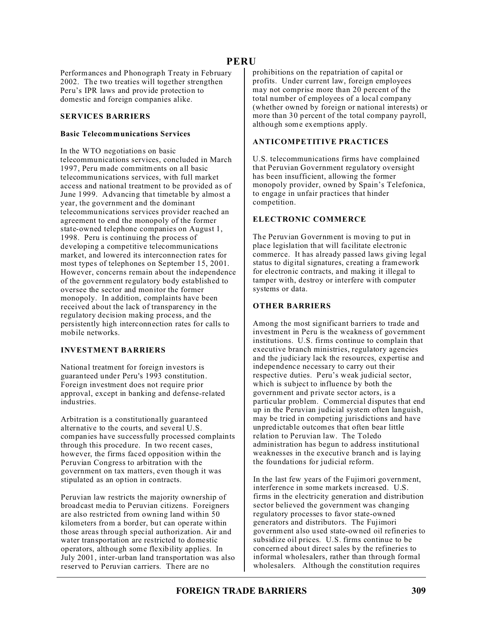# **PERU**

Performances and Phonograph Treaty in February 2002. The two treaties will together strengthen Peru's IPR laws and provide protection to domestic and foreign companies alike.

#### **SERVICES BARRIERS**

#### **Basic Telecommunications Services**

In the WTO negotiations on basic telecommunications services, concluded in March 1997, Peru made commitments on all basic telecommunications services, with full market access and national treatment to be provided as of June 1999. Advancing that timetable by almost a year, the government and the dominant telecommunications services provider reached an agreement to end the monopoly of the former state-owned telephone companies on August 1, 1998. Peru is continuing the process of developing a competitive telecommunications market, and lowered its interconnection rates for most types of telephones on September 15, 2001. However, concerns remain about the independence of the government regulatory body established to oversee the sector and monitor the former monopoly. In addition, complaints have been received about the lack of transparency in the regulatory decision making process, and the persistently high interconnection rates for calls to mobile networks.

#### **INVESTMENT BARRIERS**

National treatment for foreign investors is guaranteed under Peru's 1993 constitution. Foreign investment does not require prior approval, except in banking and defense-related industries.

Arbitration is a constitutionally guaranteed alternative to the courts, and several U.S. companies have successfully processed complaints through this procedure. In two recent cases, however, the firms faced opposition within the Peruvian Congress to arbitration with the government on tax matters, even though it was stipulated as an option in contracts.

Peruvian law restricts the majority ownership of broadcast media to Peruvian citizens. Foreigners are also restricted from owning land within 50 kilometers from a border, but can operate within those areas through special authorization. Air and water transportation are restricted to domestic operators, although some flexibility applies. In July 2001, inter-urban land transportation was also reserved to Peruvian carriers. There are no

prohibitions on the repatriation of capital or profits. Under current law, foreign employees may not comprise more than 20 percent of the total number of employees of a local company (whether owned by foreign or national interests) or more than 30 percent of the total company payroll, although some exemptions apply.

## **ANTICOMPETITIVE PRACTICES**

U.S. telecommunications firms have complained that Peruvian Government regulatory oversight has been insufficient, allowing the former monopoly provider, owned by Spain's Telefonica, to engage in unfair practices that hinder competition.

## **ELECTRONIC COMMERCE**

The Peruvian Government is moving to put in place legislation that will facilitate electronic commerce. It has already passed laws giving legal status to digital signatures, creating a framework for electronic contracts, and making it illegal to tamper with, destroy or interfere with computer systems or data.

## **OTHER BARRIERS**

Among the most significant barriers to trade and investment in Peru is the weakness of government institutions. U.S. firms continue to complain that executive branch ministries, regulatory agencies and the judiciary lack the resources, expertise and independence necessary to carry out their respective duties. Peru's weak judicial sector, which is subject to influence by both the government and private sector actors, is a particular problem. Commercial disputes that end up in the Peruvian judicial system often languish, may be tried in competing jurisdictions and have unpredictable outcomes that often bear little relation to Peruvian law. The Toledo administration has begun to address institutional weaknesses in the executive branch and is laying the foundations for judicial reform.

In the last few years of the Fujimori government, interference in some markets increased. U.S. firms in the electricity generation and distribution sector believed the government was changing regulatory processes to favor state-owned generators and distributors. The Fujimori government also used state-owned oil refineries to subsidize oil prices. U.S. firms continue to be concerned about direct sales by the refineries to informal wholesalers, rather than through formal wholesalers. Although the constitution requires